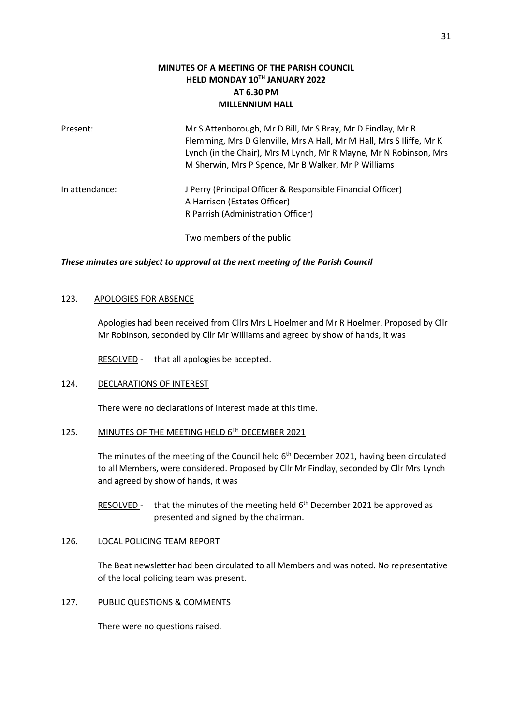# **MINUTES OF A MEETING OF THE PARISH COUNCIL HELD MONDAY 10TH JANUARY 2022 AT 6.30 PM MILLENNIUM HALL**

| Present:       | Mr S Attenborough, Mr D Bill, Mr S Bray, Mr D Findlay, Mr R<br>Flemming, Mrs D Glenville, Mrs A Hall, Mr M Hall, Mrs S Iliffe, Mr K<br>Lynch (in the Chair), Mrs M Lynch, Mr R Mayne, Mr N Robinson, Mrs<br>M Sherwin, Mrs P Spence, Mr B Walker, Mr P Williams |
|----------------|-----------------------------------------------------------------------------------------------------------------------------------------------------------------------------------------------------------------------------------------------------------------|
| In attendance: | J Perry (Principal Officer & Responsible Financial Officer)<br>A Harrison (Estates Officer)<br>R Parrish (Administration Officer)                                                                                                                               |
|                | Two members of the public                                                                                                                                                                                                                                       |

#### *These minutes are subject to approval at the next meeting of the Parish Council*

### 123. APOLOGIES FOR ABSENCE

Apologies had been received from Cllrs Mrs L Hoelmer and Mr R Hoelmer. Proposed by Cllr Mr Robinson, seconded by Cllr Mr Williams and agreed by show of hands, it was

RESOLVED - that all apologies be accepted.

## 124. DECLARATIONS OF INTEREST

There were no declarations of interest made at this time.

### 125. MINUTES OF THE MEETING HELD 6TH DECEMBER 2021

The minutes of the meeting of the Council held 6<sup>th</sup> December 2021, having been circulated to all Members, were considered. Proposed by Cllr Mr Findlay, seconded by Cllr Mrs Lynch and agreed by show of hands, it was

RESOLVED - that the minutes of the meeting held 6<sup>th</sup> December 2021 be approved as presented and signed by the chairman.

#### 126. LOCAL POLICING TEAM REPORT

The Beat newsletter had been circulated to all Members and was noted. No representative of the local policing team was present.

#### 127. PUBLIC QUESTIONS & COMMENTS

There were no questions raised.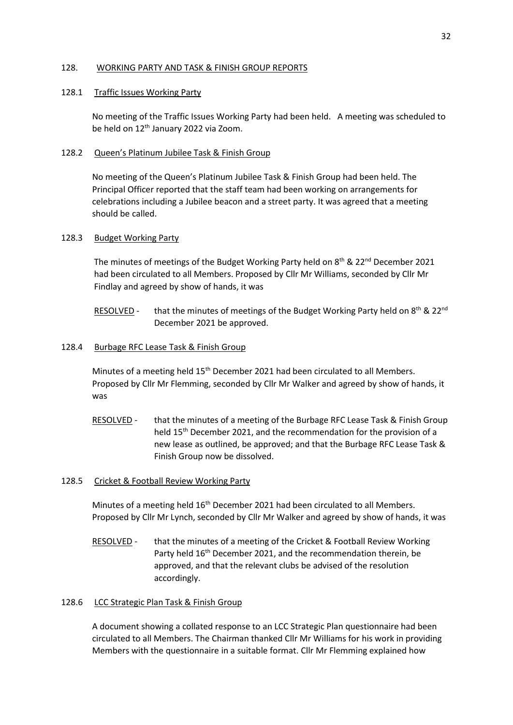### 128. WORKING PARTY AND TASK & FINISH GROUP REPORTS

#### 128.1 Traffic Issues Working Party

No meeting of the Traffic Issues Working Party had been held. A meeting was scheduled to be held on 12<sup>th</sup> January 2022 via Zoom.

### 128.2 Queen's Platinum Jubilee Task & Finish Group

No meeting of the Queen's Platinum Jubilee Task & Finish Group had been held. The Principal Officer reported that the staff team had been working on arrangements for celebrations including a Jubilee beacon and a street party. It was agreed that a meeting should be called.

### 128.3 Budget Working Party

The minutes of meetings of the Budget Working Party held on 8<sup>th</sup> & 22<sup>nd</sup> December 2021 had been circulated to all Members. Proposed by Cllr Mr Williams, seconded by Cllr Mr Findlay and agreed by show of hands, it was

RESOLVED - that the minutes of meetings of the Budget Working Party held on 8<sup>th</sup> & 22<sup>nd</sup> December 2021 be approved.

### 128.4 Burbage RFC Lease Task & Finish Group

Minutes of a meeting held 15<sup>th</sup> December 2021 had been circulated to all Members. Proposed by Cllr Mr Flemming, seconded by Cllr Mr Walker and agreed by show of hands, it was

- RESOLVED that the minutes of a meeting of the Burbage RFC Lease Task & Finish Group held 15th December 2021, and the recommendation for the provision of a new lease as outlined, be approved; and that the Burbage RFC Lease Task & Finish Group now be dissolved.
- 128.5 Cricket & Football Review Working Party

Minutes of a meeting held 16<sup>th</sup> December 2021 had been circulated to all Members. Proposed by Cllr Mr Lynch, seconded by Cllr Mr Walker and agreed by show of hands, it was

RESOLVED - that the minutes of a meeting of the Cricket & Football Review Working Party held 16<sup>th</sup> December 2021, and the recommendation therein, be approved, and that the relevant clubs be advised of the resolution accordingly.

## 128.6 LCC Strategic Plan Task & Finish Group

A document showing a collated response to an LCC Strategic Plan questionnaire had been circulated to all Members. The Chairman thanked Cllr Mr Williams for his work in providing Members with the questionnaire in a suitable format. Cllr Mr Flemming explained how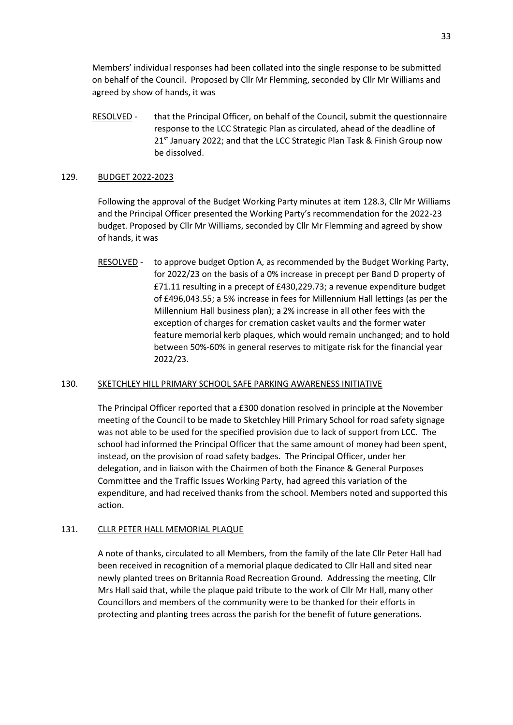Members' individual responses had been collated into the single response to be submitted on behalf of the Council. Proposed by Cllr Mr Flemming, seconded by Cllr Mr Williams and agreed by show of hands, it was

RESOLVED - that the Principal Officer, on behalf of the Council, submit the questionnaire response to the LCC Strategic Plan as circulated, ahead of the deadline of 21<sup>st</sup> January 2022; and that the LCC Strategic Plan Task & Finish Group now be dissolved.

## 129. BUDGET 2022-2023

Following the approval of the Budget Working Party minutes at item 128.3, Cllr Mr Williams and the Principal Officer presented the Working Party's recommendation for the 2022-23 budget. Proposed by Cllr Mr Williams, seconded by Cllr Mr Flemming and agreed by show of hands, it was

RESOLVED - to approve budget Option A, as recommended by the Budget Working Party, for 2022/23 on the basis of a 0% increase in precept per Band D property of £71.11 resulting in a precept of £430,229.73; a revenue expenditure budget of £496,043.55; a 5% increase in fees for Millennium Hall lettings (as per the Millennium Hall business plan); a 2% increase in all other fees with the exception of charges for cremation casket vaults and the former water feature memorial kerb plaques, which would remain unchanged; and to hold between 50%-60% in general reserves to mitigate risk for the financial year 2022/23.

## 130. SKETCHLEY HILL PRIMARY SCHOOL SAFE PARKING AWARENESS INITIATIVE

The Principal Officer reported that a £300 donation resolved in principle at the November meeting of the Council to be made to Sketchley Hill Primary School for road safety signage was not able to be used for the specified provision due to lack of support from LCC. The school had informed the Principal Officer that the same amount of money had been spent, instead, on the provision of road safety badges. The Principal Officer, under her delegation, and in liaison with the Chairmen of both the Finance & General Purposes Committee and the Traffic Issues Working Party, had agreed this variation of the expenditure, and had received thanks from the school. Members noted and supported this action.

#### 131. CLLR PETER HALL MEMORIAL PLAQUE

A note of thanks, circulated to all Members, from the family of the late Cllr Peter Hall had been received in recognition of a memorial plaque dedicated to Cllr Hall and sited near newly planted trees on Britannia Road Recreation Ground. Addressing the meeting, Cllr Mrs Hall said that, while the plaque paid tribute to the work of Cllr Mr Hall, many other Councillors and members of the community were to be thanked for their efforts in protecting and planting trees across the parish for the benefit of future generations.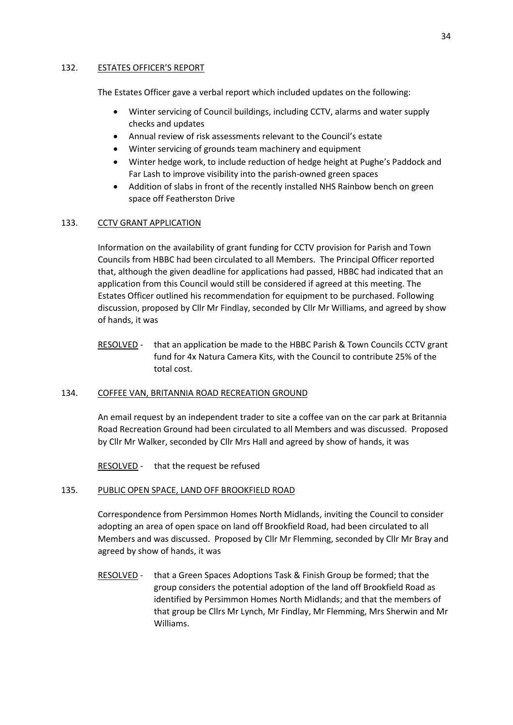## 132. ESTATES OFFICER'S REPORT

The Estates Officer gave a verbal report which included updates on the following:

- Winter servicing of Council buildings, including CCTV, alarms and water supply checks and updates
- Annual review of risk assessments relevant to the Council's estate
- Winter servicing of grounds team machinery and equipment
- Winter hedge work, to include reduction of hedge height at Pughe's Paddock and Far Lash to improve visibility into the parish-owned green spaces
- Addition of slabs in front of the recently installed NHS Rainbow bench on green space off Featherston Drive

# 133. CCTV GRANT APPLICATION

Information on the availability of grant funding for CCTV provision for Parish and Town Councils from HBBC had been circulated to all Members. The Principal Officer reported that, although the given deadline for applications had passed, HBBC had indicated that an application from this Council would still be considered if agreed at this meeting. The Estates Officer outlined his recommendation for equipment to be purchased. Following discussion, proposed by Cllr Mr Findlay, seconded by Cllr Mr Williams, and agreed by show of hands, it was

RESOLVED - that an application be made to the HBBC Parish & Town Councils CCTV grant fund for 4x Natura Camera Kits, with the Council to contribute 25% of the total cost.

## 134. COFFEE VAN, BRITANNIA ROAD RECREATION GROUND

An email request by an independent trader to site a coffee van on the car park at Britannia Road Recreation Ground had been circulated to all Members and was discussed. Proposed by Cllr Mr Walker, seconded by Cllr Mrs Hall and agreed by show of hands, it was

RESOLVED - that the request be refused

# 135. PUBLIC OPEN SPACE, LAND OFF BROOKFIELD ROAD

Correspondence from Persimmon Homes North Midlands, inviting the Council to consider adopting an area of open space on land off Brookfield Road, had been circulated to all Members and was discussed. Proposed by Cllr Mr Flemming, seconded by Cllr Mr Bray and agreed by show of hands, it was

RESOLVED - that a Green Spaces Adoptions Task & Finish Group be formed; that the group considers the potential adoption of the land off Brookfield Road as identified by Persimmon Homes North Midlands; and that the members of that group be Cllrs Mr Lynch, Mr Findlay, Mr Flemming, Mrs Sherwin and Mr Williams.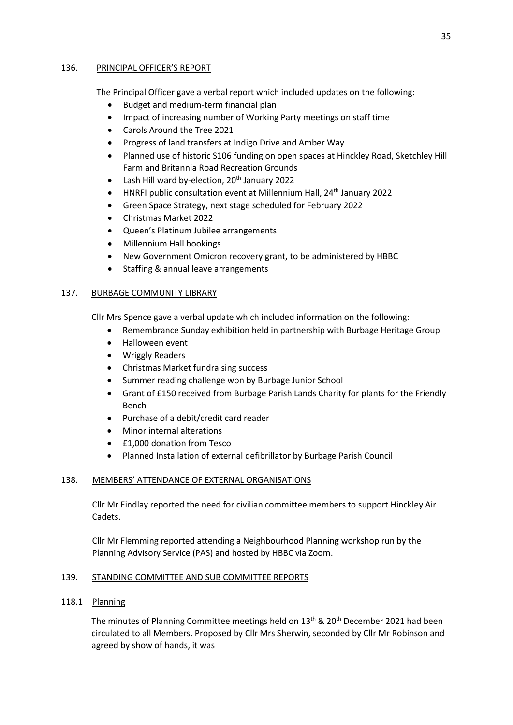## 136. PRINCIPAL OFFICER'S REPORT

The Principal Officer gave a verbal report which included updates on the following:

- Budget and medium-term financial plan
- Impact of increasing number of Working Party meetings on staff time
- Carols Around the Tree 2021
- Progress of land transfers at Indigo Drive and Amber Way
- Planned use of historic S106 funding on open spaces at Hinckley Road, Sketchley Hill Farm and Britannia Road Recreation Grounds
- Lash Hill ward by-election,  $20^{th}$  January 2022
- HNRFI public consultation event at Millennium Hall, 24th January 2022
- Green Space Strategy, next stage scheduled for February 2022
- Christmas Market 2022
- Queen's Platinum Jubilee arrangements
- Millennium Hall bookings
- New Government Omicron recovery grant, to be administered by HBBC
- Staffing & annual leave arrangements

# 137. BURBAGE COMMUNITY LIBRARY

Cllr Mrs Spence gave a verbal update which included information on the following:

- Remembrance Sunday exhibition held in partnership with Burbage Heritage Group
- Halloween event
- Wriggly Readers
- Christmas Market fundraising success
- Summer reading challenge won by Burbage Junior School
- Grant of £150 received from Burbage Parish Lands Charity for plants for the Friendly Bench
- Purchase of a debit/credit card reader
- Minor internal alterations
- £1,000 donation from Tesco
- Planned Installation of external defibrillator by Burbage Parish Council

# 138. MEMBERS' ATTENDANCE OF EXTERNAL ORGANISATIONS

Cllr Mr Findlay reported the need for civilian committee members to support Hinckley Air Cadets.

Cllr Mr Flemming reported attending a Neighbourhood Planning workshop run by the Planning Advisory Service (PAS) and hosted by HBBC via Zoom.

# 139. STANDING COMMITTEE AND SUB COMMITTEE REPORTS

## 118.1 Planning

The minutes of Planning Committee meetings held on  $13<sup>th</sup>$  &  $20<sup>th</sup>$  December 2021 had been circulated to all Members. Proposed by Cllr Mrs Sherwin, seconded by Cllr Mr Robinson and agreed by show of hands, it was